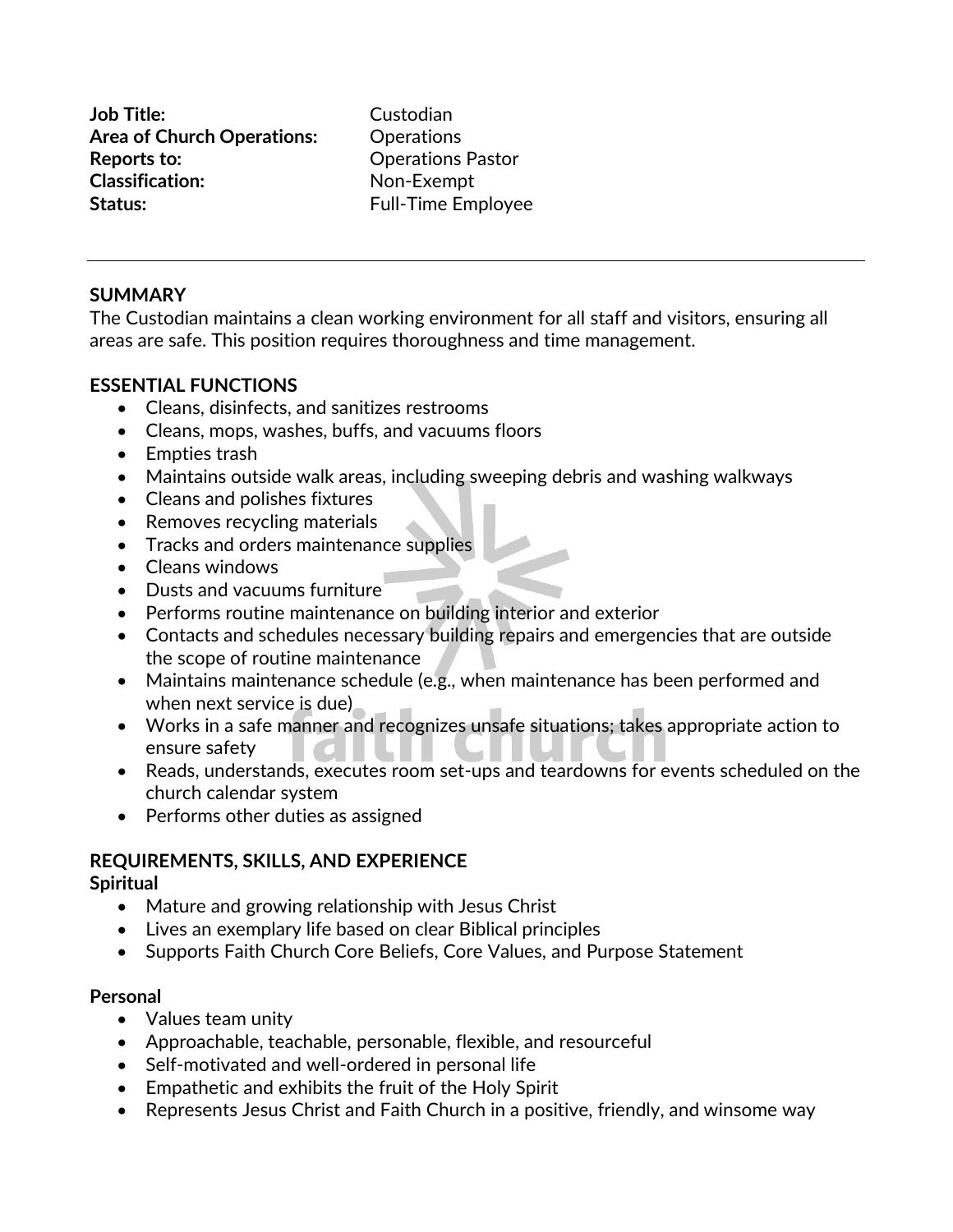**Job Title:** Custodian **Area of Church Operations:** Operations **Reports to:** Operations Pastor **Classification:** Non-Exempt **Status:** Full-Time Employee

#### **SUMMARY**

The Custodian maintains a clean working environment for all staff and visitors, ensuring all areas are safe. This position requires thoroughness and time management.

## **ESSENTIAL FUNCTIONS**

- Cleans, disinfects, and sanitizes restrooms
- Cleans, mops, washes, buffs, and vacuums floors
- Empties trash
- Maintains outside walk areas, including sweeping debris and washing walkways
- Cleans and polishes fixtures
- Removes recycling materials
- Tracks and orders maintenance supplies
- Cleans windows
- Dusts and vacuums furniture
- Performs routine maintenance on building interior and exterior
- Contacts and schedules necessary building repairs and emergencies that are outside the scope of routine maintenance
- Maintains maintenance schedule (e.g., when maintenance has been performed and when next service is due)
- Works in a safe manner and recognizes unsafe situations; takes appropriate action to ensure safety
- Reads, understands, executes room set-ups and teardowns for events scheduled on the church calendar system
- Performs other duties as assigned

## **REQUIREMENTS, SKILLS, AND EXPERIENCE**

#### **Spiritual**

- Mature and growing relationship with Jesus Christ
- Lives an exemplary life based on clear Biblical principles
- Supports Faith Church Core Beliefs, Core Values, and Purpose Statement

## **Personal**

- Values team unity
- Approachable, teachable, personable, flexible, and resourceful
- Self-motivated and well-ordered in personal life
- Empathetic and exhibits the fruit of the Holy Spirit
- Represents Jesus Christ and Faith Church in a positive, friendly, and winsome way